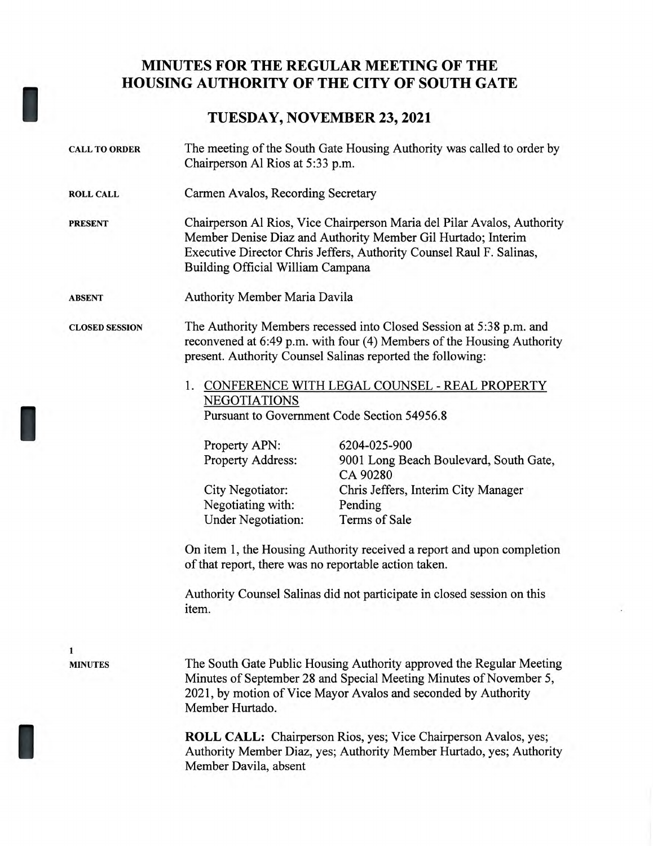## **MINUTES FOR THE REGULAR MEETING OF THE HOUSING AUTHORITY OF THE CITY OF SOUTH GATE**

## **TUESDAY, NOVEMBER 23, 2021**

I

I

I

| <b>CALL TO ORDER</b>  | The meeting of the South Gate Housing Authority was called to order by<br>Chairperson Al Rios at 5:33 p.m.                                                                                                                                                      |                                                                    |
|-----------------------|-----------------------------------------------------------------------------------------------------------------------------------------------------------------------------------------------------------------------------------------------------------------|--------------------------------------------------------------------|
| <b>ROLL CALL</b>      | Carmen Avalos, Recording Secretary                                                                                                                                                                                                                              |                                                                    |
| <b>PRESENT</b>        | Chairperson Al Rios, Vice Chairperson Maria del Pilar Avalos, Authority<br>Member Denise Diaz and Authority Member Gil Hurtado; Interim<br>Executive Director Chris Jeffers, Authority Counsel Raul F. Salinas,<br>Building Official William Campana            |                                                                    |
| <b>ABSENT</b>         | Authority Member Maria Davila                                                                                                                                                                                                                                   |                                                                    |
| <b>CLOSED SESSION</b> | The Authority Members recessed into Closed Session at 5:38 p.m. and<br>reconvened at 6:49 p.m. with four (4) Members of the Housing Authority<br>present. Authority Counsel Salinas reported the following:<br>1. CONFERENCE WITH LEGAL COUNSEL - REAL PROPERTY |                                                                    |
|                       |                                                                                                                                                                                                                                                                 |                                                                    |
|                       | <b>NEGOTIATIONS</b><br>Pursuant to Government Code Section 54956.8                                                                                                                                                                                              |                                                                    |
|                       |                                                                                                                                                                                                                                                                 |                                                                    |
|                       | Property APN:<br>Property Address:                                                                                                                                                                                                                              | 6204-025-900<br>9001 Long Beach Boulevard, South Gate,<br>CA 90280 |
|                       | City Negotiator:<br>Negotiating with:                                                                                                                                                                                                                           | Chris Jeffers, Interim City Manager<br>Pending                     |
|                       | <b>Under Negotiation:</b>                                                                                                                                                                                                                                       | Terms of Sale                                                      |
|                       | On item 1, the Housing Authority received a report and upon completion<br>of that report, there was no reportable action taken.                                                                                                                                 |                                                                    |
|                       | Authority Counsel Salinas did not participate in closed session on this<br>item.                                                                                                                                                                                |                                                                    |
| 1                     |                                                                                                                                                                                                                                                                 |                                                                    |
| <b>MINUTES</b>        | The South Gate Public Housing Authority approved the Regular Meeting<br>Minutes of September 28 and Special Meeting Minutes of November 5,<br>2021, by motion of Vice Mayor Avalos and seconded by Authority<br>Member Hurtado.                                 |                                                                    |
|                       | <b>ROLL CALL:</b> Chairperson Rios, yes; Vice Chairperson Avalos, yes;<br>Authority Member Diaz, yes; Authority Member Hurtado, yes; Authority<br>Member Davila, absent                                                                                         |                                                                    |